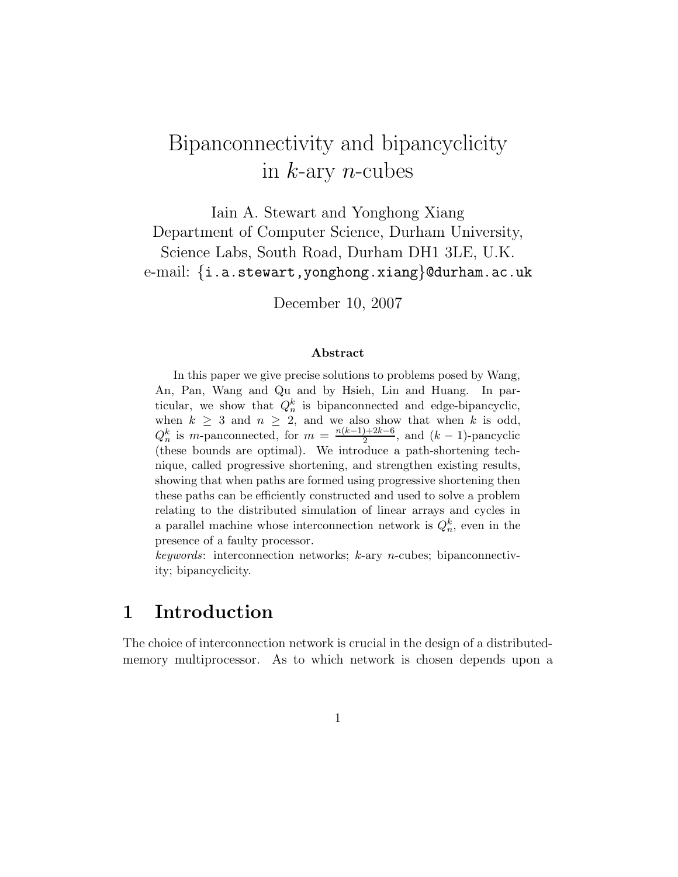# Bipanconnectivity and bipancyclicity in  $k$ -ary *n*-cubes

Iain A. Stewart and Yonghong Xiang Department of Computer Science, Durham University, Science Labs, South Road, Durham DH1 3LE, U.K. e-mail: {i.a.stewart,yonghong.xiang}@durham.ac.uk

December 10, 2007

#### Abstract

In this paper we give precise solutions to problems posed by Wang, An, Pan, Wang and Qu and by Hsieh, Lin and Huang. In particular, we show that  $Q_n^k$  is bipanconnected and edge-bipancyclic, when  $k \geq 3$  and  $n \geq 2$ , and we also show that when k is odd,  $Q_n^k$  is m-panconnected, for  $m = \frac{n(k-1)+2k-6}{2}$  $\frac{2^{k-2}}{2}$ , and  $(k-1)$ -pancyclic (these bounds are optimal). We introduce a path-shortening technique, called progressive shortening, and strengthen existing results, showing that when paths are formed using progressive shortening then these paths can be efficiently constructed and used to solve a problem relating to the distributed simulation of linear arrays and cycles in a parallel machine whose interconnection network is  $Q_n^k$ , even in the presence of a faulty processor.

 $keywords:$  interconnection networks;  $k$ -ary *n*-cubes; bipanconnectivity; bipancyclicity.

## 1 Introduction

The choice of interconnection network is crucial in the design of a distributedmemory multiprocessor. As to which network is chosen depends upon a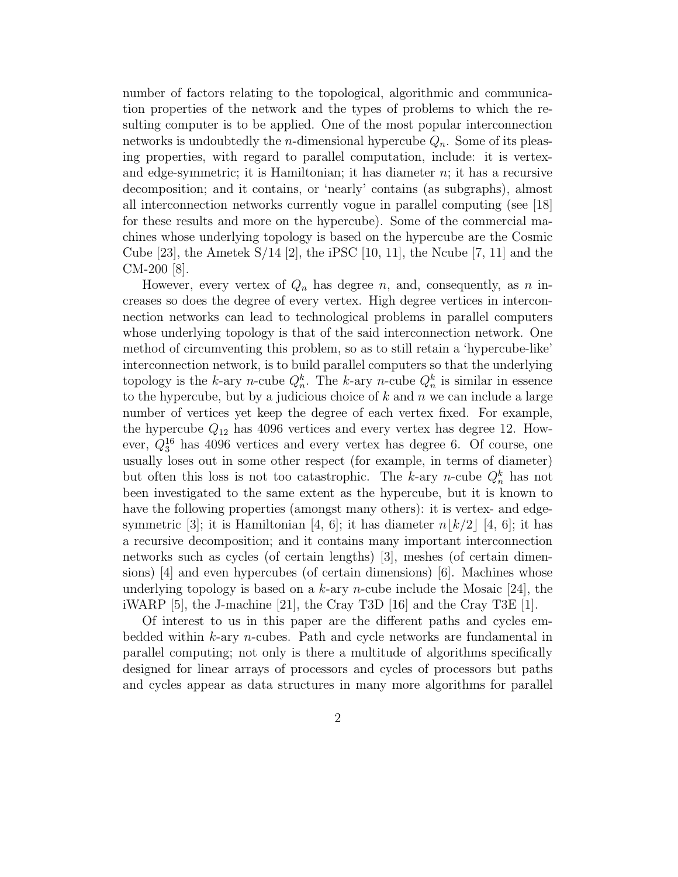number of factors relating to the topological, algorithmic and communication properties of the network and the types of problems to which the resulting computer is to be applied. One of the most popular interconnection networks is undoubtedly the *n*-dimensional hypercube  $Q_n$ . Some of its pleasing properties, with regard to parallel computation, include: it is vertexand edge-symmetric; it is Hamiltonian; it has diameter  $n$ ; it has a recursive decomposition; and it contains, or 'nearly' contains (as subgraphs), almost all interconnection networks currently vogue in parallel computing (see [18] for these results and more on the hypercube). Some of the commercial machines whose underlying topology is based on the hypercube are the Cosmic Cube [23], the Ametek  $S/14$  [2], the iPSC [10, 11], the Ncube [7, 11] and the CM-200 [8].

However, every vertex of  $Q_n$  has degree n, and, consequently, as n increases so does the degree of every vertex. High degree vertices in interconnection networks can lead to technological problems in parallel computers whose underlying topology is that of the said interconnection network. One method of circumventing this problem, so as to still retain a 'hypercube-like' interconnection network, is to build parallel computers so that the underlying topology is the k-ary n-cube  $Q_n^k$ . The k-ary n-cube  $Q_n^k$  is similar in essence to the hypercube, but by a judicious choice of  $k$  and  $n$  we can include a large number of vertices yet keep the degree of each vertex fixed. For example, the hypercube  $Q_{12}$  has 4096 vertices and every vertex has degree 12. However,  $Q_3^{16}$  has 4096 vertices and every vertex has degree 6. Of course, one usually loses out in some other respect (for example, in terms of diameter) but often this loss is not too catastrophic. The k-ary n-cube  $Q_n^k$  has not been investigated to the same extent as the hypercube, but it is known to have the following properties (amongst many others): it is vertex- and edgesymmetric [3]; it is Hamiltonian [4, 6]; it has diameter  $n \mid k/2 \mid [4, 6]$ ; it has a recursive decomposition; and it contains many important interconnection networks such as cycles (of certain lengths) [3], meshes (of certain dimensions) [4] and even hypercubes (of certain dimensions) [6]. Machines whose underlying topology is based on a  $k$ -ary *n*-cube include the Mosaic [24], the iWARP [5], the J-machine [21], the Cray T3D [16] and the Cray T3E [1].

Of interest to us in this paper are the different paths and cycles embedded within k-ary n-cubes. Path and cycle networks are fundamental in parallel computing; not only is there a multitude of algorithms specifically designed for linear arrays of processors and cycles of processors but paths and cycles appear as data structures in many more algorithms for parallel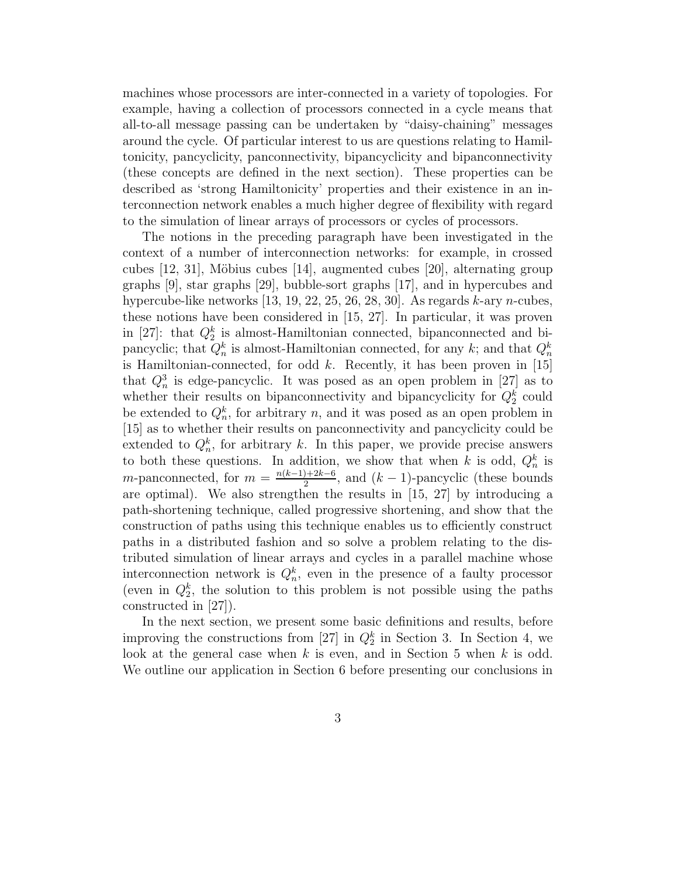machines whose processors are inter-connected in a variety of topologies. For example, having a collection of processors connected in a cycle means that all-to-all message passing can be undertaken by "daisy-chaining" messages around the cycle. Of particular interest to us are questions relating to Hamiltonicity, pancyclicity, panconnectivity, bipancyclicity and bipanconnectivity (these concepts are defined in the next section). These properties can be described as 'strong Hamiltonicity' properties and their existence in an interconnection network enables a much higher degree of flexibility with regard to the simulation of linear arrays of processors or cycles of processors.

The notions in the preceding paragraph have been investigated in the context of a number of interconnection networks: for example, in crossed cubes  $[12, 31]$ , Möbius cubes  $[14]$ , augmented cubes  $[20]$ , alternating group graphs [9], star graphs [29], bubble-sort graphs [17], and in hypercubes and hypercube-like networks  $[13, 19, 22, 25, 26, 28, 30]$ . As regards k-ary n-cubes, these notions have been considered in [15, 27]. In particular, it was proven in [27]: that  $Q_2^k$  is almost-Hamiltonian connected, bipanconnected and bipancyclic; that  $Q_n^k$  is almost-Hamiltonian connected, for any  $k$ ; and that  $Q_n^k$ is Hamiltonian-connected, for odd  $k$ . Recently, it has been proven in [15] that  $Q_n^3$  is edge-pancyclic. It was posed as an open problem in [27] as to whether their results on bipanconnectivity and bipancyclicity for  $Q_2^k$  could be extended to  $Q_n^k$ , for arbitrary n, and it was posed as an open problem in [15] as to whether their results on panconnectivity and pancyclicity could be extended to  $Q_n^k$ , for arbitrary k. In this paper, we provide precise answers to both these questions. In addition, we show that when k is odd,  $Q_n^k$  is m-panconnected, for  $m = \frac{n(k-1)+2k-6}{2}$  $\frac{2^{k-2}}{2}$ , and  $(k-1)$ -pancyclic (these bounds are optimal). We also strengthen the results in [15, 27] by introducing a path-shortening technique, called progressive shortening, and show that the construction of paths using this technique enables us to efficiently construct paths in a distributed fashion and so solve a problem relating to the distributed simulation of linear arrays and cycles in a parallel machine whose interconnection network is  $Q_n^k$ , even in the presence of a faulty processor (even in  $Q_2^k$ , the solution to this problem is not possible using the paths constructed in [27]).

In the next section, we present some basic definitions and results, before improving the constructions from [27] in  $Q_2^k$  in Section 3. In Section 4, we look at the general case when  $k$  is even, and in Section 5 when  $k$  is odd. We outline our application in Section 6 before presenting our conclusions in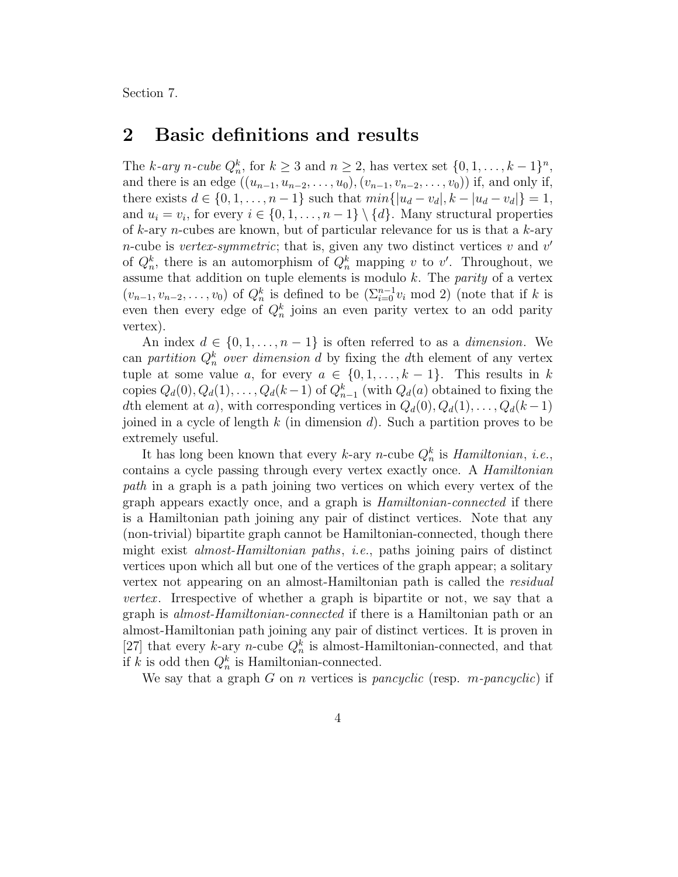Section 7.

### 2 Basic definitions and results

The k-ary n-cube  $Q_n^k$ , for  $k \geq 3$  and  $n \geq 2$ , has vertex set  $\{0, 1, \ldots, k-1\}^n$ , and there is an edge  $((u_{n-1}, u_{n-2}, \ldots, u_0), (v_{n-1}, v_{n-2}, \ldots, v_0))$  if, and only if, there exists  $d \in \{0, 1, \ldots, n-1\}$  such that  $min\{|u_d - v_d|, k - |u_d - v_d|\} = 1$ , and  $u_i = v_i$ , for every  $i \in \{0, 1, \ldots, n-1\} \setminus \{d\}$ . Many structural properties of k-ary n-cubes are known, but of particular relevance for us is that a  $k$ -ary *n*-cube is *vertex-symmetric*; that is, given any two distinct vertices v and  $v'$ of  $Q_n^k$ , there is an automorphism of  $Q_n^k$  mapping v to v'. Throughout, we assume that addition on tuple elements is modulo  $k$ . The *parity* of a vertex  $(v_{n-1}, v_{n-2}, \ldots, v_0)$  of  $Q_n^k$  is defined to be  $(\sum_{i=0}^{n-1} v_i \mod 2)$  (note that if k is even then every edge of  $Q_n^k$  joins an even parity vertex to an odd parity vertex).

An index  $d \in \{0, 1, \ldots, n-1\}$  is often referred to as a *dimension*. We can partition  $Q_n^k$  over dimension d by fixing the dth element of any vertex tuple at some value a, for every  $a \in \{0, 1, \ldots, k-1\}$ . This results in k copies  $Q_d(0), Q_d(1), \ldots, Q_d(k-1)$  of  $Q_{n-1}^k$  (with  $Q_d(a)$  obtained to fixing the dth element at a), with corresponding vertices in  $Q_d(0), Q_d(1), \ldots, Q_d(k-1)$ joined in a cycle of length  $k$  (in dimension  $d$ ). Such a partition proves to be extremely useful.

It has long been known that every k-ary n-cube  $Q_n^k$  is *Hamiltonian*, *i.e.*, contains a cycle passing through every vertex exactly once. A Hamiltonian path in a graph is a path joining two vertices on which every vertex of the graph appears exactly once, and a graph is Hamiltonian-connected if there is a Hamiltonian path joining any pair of distinct vertices. Note that any (non-trivial) bipartite graph cannot be Hamiltonian-connected, though there might exist almost-Hamiltonian paths, i.e., paths joining pairs of distinct vertices upon which all but one of the vertices of the graph appear; a solitary vertex not appearing on an almost-Hamiltonian path is called the residual *vertex.* Irrespective of whether a graph is bipartite or not, we say that a graph is almost-Hamiltonian-connected if there is a Hamiltonian path or an almost-Hamiltonian path joining any pair of distinct vertices. It is proven in [27] that every k-ary n-cube  $Q_n^k$  is almost-Hamiltonian-connected, and that if k is odd then  $Q_n^k$  is Hamiltonian-connected.

We say that a graph  $G$  on n vertices is pancyclic (resp. m-pancyclic) if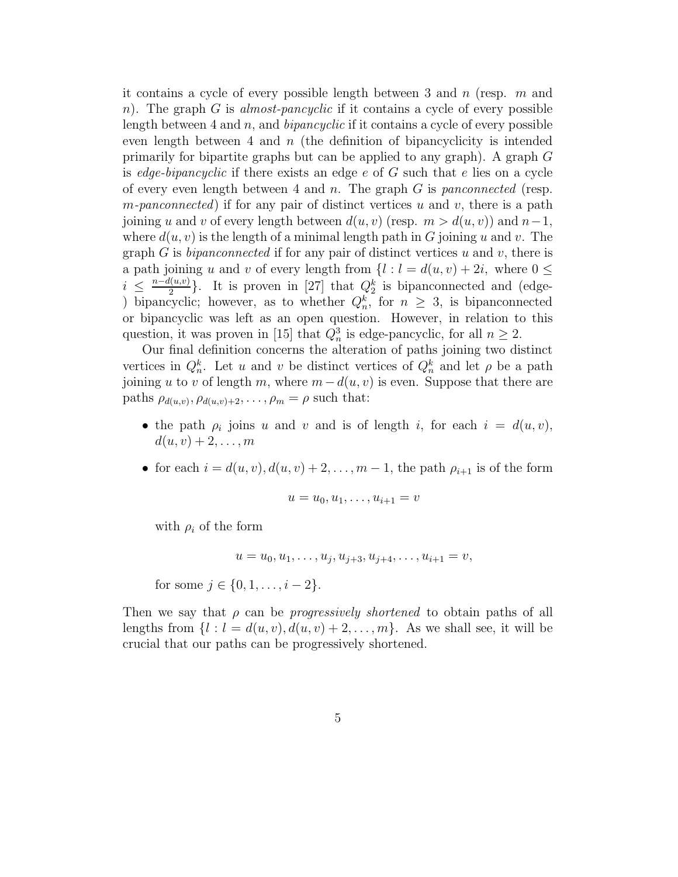it contains a cycle of every possible length between 3 and  $n$  (resp.  $m$  and n). The graph G is almost-pancyclic if it contains a cycle of every possible length between 4 and  $n$ , and *bipancyclic* if it contains a cycle of every possible even length between 4 and  $n$  (the definition of bipancyclicity is intended primarily for bipartite graphs but can be applied to any graph). A graph  $G$ is *edge-bipancyclic* if there exists an edge  $e$  of  $G$  such that  $e$  lies on a cycle of every even length between 4 and n. The graph  $G$  is panconnected (resp. m-panconnected) if for any pair of distinct vertices u and v, there is a path joining u and v of every length between  $d(u, v)$  (resp.  $m > d(u, v)$ ) and  $n-1$ , where  $d(u, v)$  is the length of a minimal length path in G joining u and v. The graph G is bipanconnected if for any pair of distinct vertices u and v, there is a path joining u and v of every length from  $\{l : l = d(u, v) + 2i$ , where  $0 \leq$  $i \leq \frac{n-d(u,v)}{2}$  $\frac{l(u,v)}{2}$ . It is proven in [27] that  $Q_2^k$  is bipanconnected and (edge-) bipancyclic; however, as to whether  $Q_n^k$ , for  $n \geq 3$ , is bipanconnected or bipancyclic was left as an open question. However, in relation to this question, it was proven in [15] that  $Q_n^3$  is edge-pancyclic, for all  $n \geq 2$ .

Our final definition concerns the alteration of paths joining two distinct vertices in  $Q_n^k$ . Let u and v be distinct vertices of  $Q_n^k$  and let  $\rho$  be a path joining u to v of length m, where  $m - d(u, v)$  is even. Suppose that there are paths  $\rho_{d(u,v)}, \rho_{d(u,v)+2}, \ldots, \rho_m = \rho$  such that:

- the path  $\rho_i$  joins u and v and is of length i, for each  $i = d(u, v)$ ,  $d(u, v) + 2, \ldots, m$
- for each  $i = d(u, v), d(u, v) + 2, \ldots, m 1$ , the path  $\rho_{i+1}$  is of the form

$$
u=u_0,u_1,\ldots,u_{i+1}=v
$$

with  $\rho_i$  of the form

$$
u = u_0, u_1, \dots, u_j, u_{j+3}, u_{j+4}, \dots, u_{i+1} = v,
$$

for some  $j \in \{0, 1, \ldots, i-2\}.$ 

Then we say that  $\rho$  can be *progressively shortened* to obtain paths of all lengths from  $\{l : l = d(u, v), d(u, v) + 2, \ldots, m\}$ . As we shall see, it will be crucial that our paths can be progressively shortened.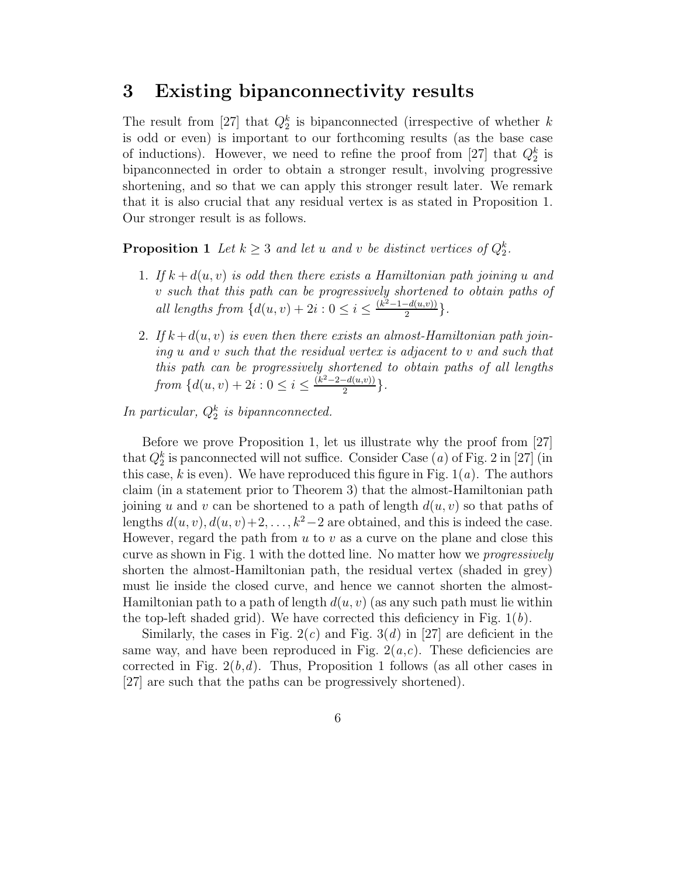### 3 Existing bipanconnectivity results

The result from [27] that  $Q_2^k$  is bipanconnected (irrespective of whether k is odd or even) is important to our forthcoming results (as the base case of inductions). However, we need to refine the proof from [27] that  $Q_2^k$  is bipanconnected in order to obtain a stronger result, involving progressive shortening, and so that we can apply this stronger result later. We remark that it is also crucial that any residual vertex is as stated in Proposition 1. Our stronger result is as follows.

**Proposition 1** Let  $k \geq 3$  and let u and v be distinct vertices of  $Q_2^k$ .

- 1. If  $k + d(u, v)$  is odd then there exists a Hamiltonian path joining u and v such that this path can be progressively shortened to obtain paths of all lengths from  $\{d(u, v) + 2i : 0 \le i \le \frac{(k^2-1-d(u,v))}{2} \}$  $\frac{-a(u,v))}{2}\}.$
- 2. If  $k+d(u, v)$  is even then there exists an almost-Hamiltonian path joining u and v such that the residual vertex is adjacent to v and such that this path can be progressively shortened to obtain paths of all lengths from  $\{d(u, v) + 2i : 0 \leq i \leq \frac{(k^2 - 2 - d(u, v))}{2} \}$  $\frac{-a(u,v))}{2}\}.$

In particular,  $Q_2^k$  is bipannconnected.

Before we prove Proposition 1, let us illustrate why the proof from [27] that  $Q_2^k$  is panconnected will not suffice. Consider Case  $(a)$  of Fig. 2 in [27] (in this case,  $k$  is even). We have reproduced this figure in Fig.  $1(a)$ . The authors claim (in a statement prior to Theorem 3) that the almost-Hamiltonian path joining u and v can be shortened to a path of length  $d(u, v)$  so that paths of lengths  $d(u, v), d(u, v)+2, \ldots, k^2-2$  are obtained, and this is indeed the case. However, regard the path from  $u$  to  $v$  as a curve on the plane and close this curve as shown in Fig. 1 with the dotted line. No matter how we progressively shorten the almost-Hamiltonian path, the residual vertex (shaded in grey) must lie inside the closed curve, and hence we cannot shorten the almost-Hamiltonian path to a path of length  $d(u, v)$  (as any such path must lie within the top-left shaded grid). We have corrected this deficiency in Fig.  $1(b)$ .

Similarly, the cases in Fig.  $2(c)$  and Fig.  $3(d)$  in [27] are deficient in the same way, and have been reproduced in Fig.  $2(a,c)$ . These deficiencies are corrected in Fig.  $2(b,d)$ . Thus, Proposition 1 follows (as all other cases in [27] are such that the paths can be progressively shortened).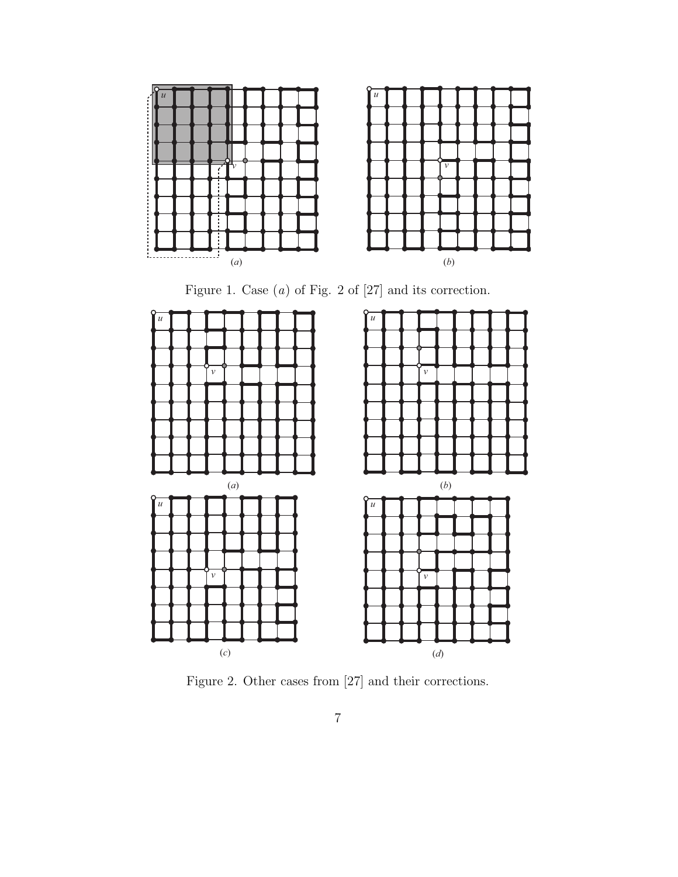

Figure 1. Case  $(a)$  of Fig. 2 of  $[27]$  and its correction.



Figure 2. Other cases from [27] and their corrections.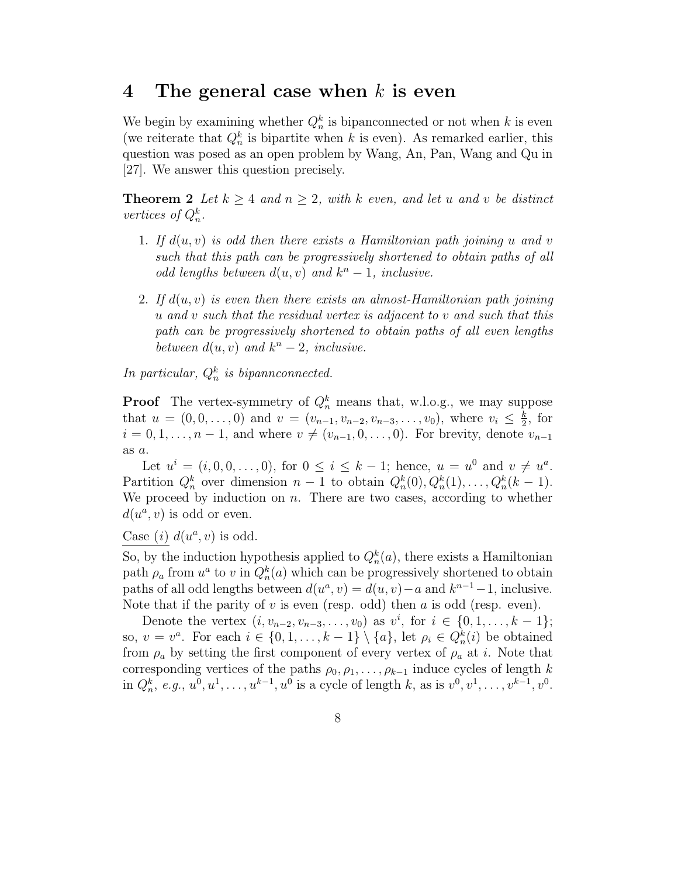### 4 The general case when  $k$  is even

We begin by examining whether  $Q_n^k$  is bipanconnected or not when k is even (we reiterate that  $Q_n^k$  is bipartite when k is even). As remarked earlier, this question was posed as an open problem by Wang, An, Pan, Wang and Qu in [27]. We answer this question precisely.

**Theorem 2** Let  $k \geq 4$  and  $n \geq 2$ , with k even, and let u and v be distinct vertices of  $Q_n^k$ .

- 1. If  $d(u, v)$  is odd then there exists a Hamiltonian path joining u and v such that this path can be progressively shortened to obtain paths of all odd lengths between  $d(u, v)$  and  $k<sup>n</sup> - 1$ , inclusive.
- 2. If  $d(u, v)$  is even then there exists an almost-Hamiltonian path joining u and v such that the residual vertex is adjacent to v and such that this path can be progressively shortened to obtain paths of all even lengths between  $d(u, v)$  and  $k^n - 2$ , inclusive.

In particular,  $Q_n^k$  is bipannconnected.

**Proof** The vertex-symmetry of  $Q_n^k$  means that, w.l.o.g., we may suppose that  $u = (0, 0, \ldots, 0)$  and  $v = (v_{n-1}, v_{n-2}, v_{n-3}, \ldots, v_0)$ , where  $v_i \leq \frac{k}{2}$  $\frac{k}{2}$ , for  $i = 0, 1, \ldots, n - 1$ , and where  $v \neq (v_{n-1}, 0, \ldots, 0)$ . For brevity, denote  $v_{n-1}$ as a.

Let  $u^{i} = (i, 0, 0, \ldots, 0)$ , for  $0 \leq i \leq k - 1$ ; hence,  $u = u^{0}$  and  $v \neq u^{a}$ . Partition  $Q_n^k$  over dimension  $n-1$  to obtain  $Q_n^k(0), Q_n^k(1), \ldots, Q_n^k(k-1)$ . We proceed by induction on  $n$ . There are two cases, according to whether  $d(u^a, v)$  is odd or even.

Case (i)  $d(u^a, v)$  is odd.

So, by the induction hypothesis applied to  $Q_n^k(a)$ , there exists a Hamiltonian path  $\rho_a$  from  $u^a$  to v in  $Q_n^k(a)$  which can be progressively shortened to obtain paths of all odd lengths between  $d(u^a, v) = d(u, v) - a$  and  $k^{n-1} - 1$ , inclusive. Note that if the parity of  $v$  is even (resp. odd) then  $a$  is odd (resp. even).

Denote the vertex  $(i, v_{n-2}, v_{n-3}, \ldots, v_0)$  as  $v^i$ , for  $i \in \{0, 1, \ldots, k-1\};$ so,  $v = v^a$ . For each  $i \in \{0, 1, \ldots, k-1\} \setminus \{a\}$ , let  $\rho_i \in Q_n^k(i)$  be obtained from  $\rho_a$  by setting the first component of every vertex of  $\rho_a$  at i. Note that corresponding vertices of the paths  $\rho_0, \rho_1, \ldots, \rho_{k-1}$  induce cycles of length k in  $Q_h^k$ , e.g.,  $u^0, u^1, \ldots, u^{k-1}, u^0$  is a cycle of length k, as is  $v^0, v^1, \ldots, v^{k-1}, v^0$ .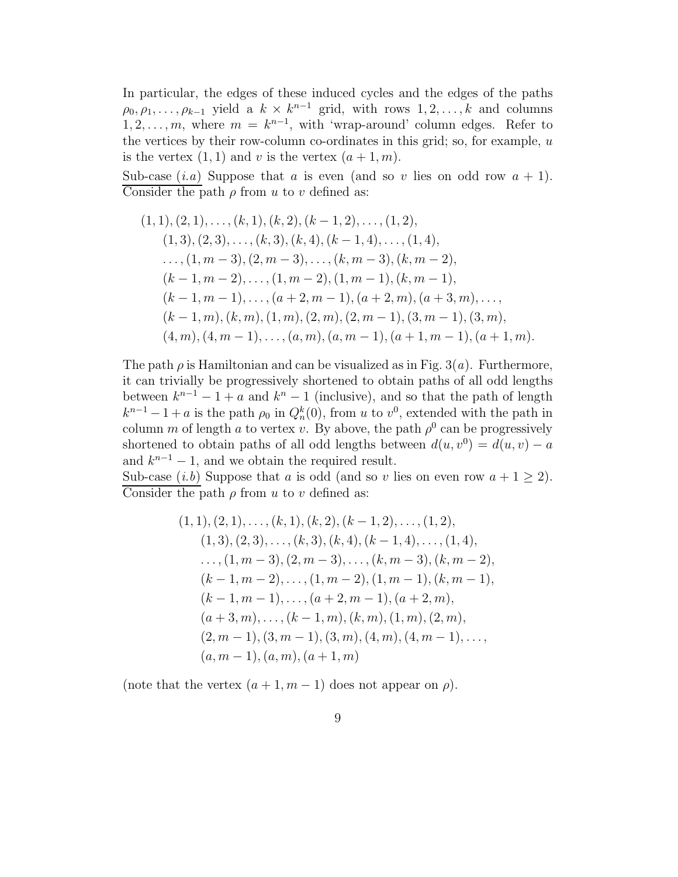In particular, the edges of these induced cycles and the edges of the paths  $\rho_0, \rho_1, \ldots, \rho_{k-1}$  yield a  $k \times k^{n-1}$  grid, with rows  $1, 2, \ldots, k$  and columns  $1, 2, \ldots, m$ , where  $m = k^{n-1}$ , with 'wrap-around' column edges. Refer to the vertices by their row-column co-ordinates in this grid; so, for example,  $u$ is the vertex  $(1, 1)$  and v is the vertex  $(a + 1, m)$ .

Sub-case  $(i.a)$  Suppose that a is even (and so v lies on odd row  $a + 1$ ). Consider the path  $\rho$  from u to v defined as:

$$
(1, 1), (2, 1), \ldots, (k, 1), (k, 2), (k - 1, 2), \ldots, (1, 2),(1, 3), (2, 3), \ldots, (k, 3), (k, 4), (k - 1, 4), \ldots, (1, 4),\ldots, (1, m - 3), (2, m - 3), \ldots, (k, m - 3), (k, m - 2),(k - 1, m - 2), \ldots, (1, m - 2), (1, m - 1), (k, m - 1),(k - 1, m - 1), \ldots, (a + 2, m - 1), (a + 2, m), (a + 3, m), \ldots,(k - 1, m), (k, m), (1, m), (2, m), (2, m - 1), (3, m - 1), (3, m),(4, m), (4, m - 1), \ldots, (a, m), (a, m - 1), (a + 1, m - 1), (a + 1, m).
$$

The path  $\rho$  is Hamiltonian and can be visualized as in Fig. 3(*a*). Furthermore, it can trivially be progressively shortened to obtain paths of all odd lengths between  $k^{n-1} - 1 + a$  and  $k^n - 1$  (inclusive), and so that the path of length  $k^{n-1} - 1 + a$  is the path  $\rho_0$  in  $Q_n^k(0)$ , from u to  $v^0$ , extended with the path in column m of length a to vertex v. By above, the path  $\rho^0$  can be progressively shortened to obtain paths of all odd lengths between  $d(u, v^0) = d(u, v) - a$ and  $k^{n-1} - 1$ , and we obtain the required result.

Sub-case  $(i.b)$  Suppose that a is odd (and so v lies on even row  $a + 1 \geq 2$ ). Consider the path  $\rho$  from u to v defined as:

$$
(1, 1), (2, 1), \ldots, (k, 1), (k, 2), (k - 1, 2), \ldots, (1, 2),(1, 3), (2, 3), \ldots, (k, 3), (k, 4), (k - 1, 4), \ldots, (1, 4),\ldots, (1, m - 3), (2, m - 3), \ldots, (k, m - 3), (k, m - 2),(k - 1, m - 2), \ldots, (1, m - 2), (1, m - 1), (k, m - 1),(k - 1, m - 1), \ldots, (a + 2, m - 1), (a + 2, m),(a + 3, m), \ldots, (k - 1, m), (k, m), (1, m), (2, m),(2, m - 1), (3, m - 1), (3, m), (4, m), (4, m - 1), \ldots,(a, m - 1), (a, m), (a + 1, m)
$$

(note that the vertex  $(a + 1, m - 1)$  does not appear on  $\rho$ ).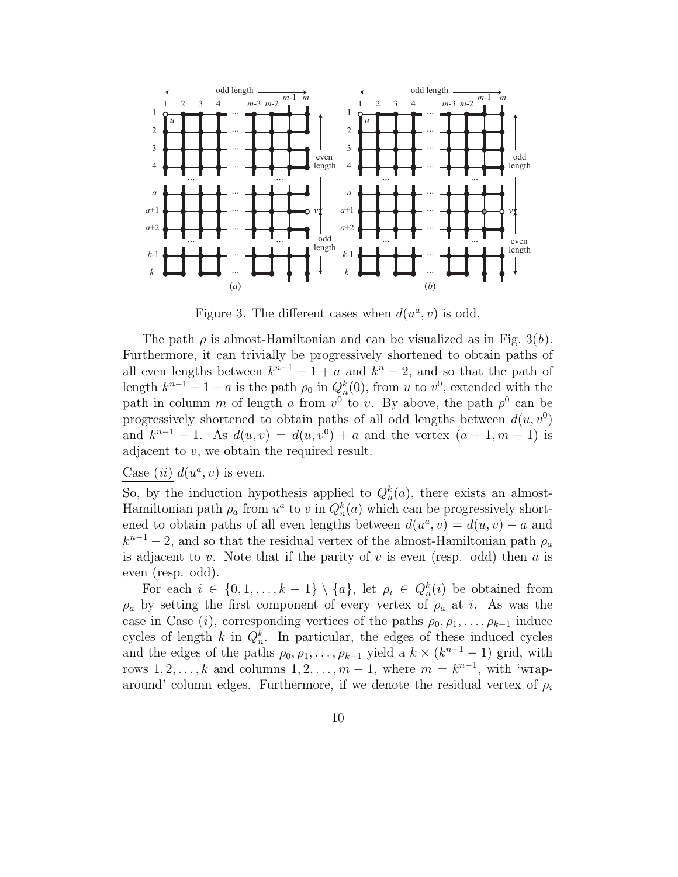

Figure 3. The different cases when  $d(u^a, v)$  is odd.

The path  $\rho$  is almost-Hamiltonian and can be visualized as in Fig. 3(b). Furthermore, it can trivially be progressively shortened to obtain paths of all even lengths between  $k^{n-1} - 1 + a$  and  $k^n - 2$ , and so that the path of length  $k^{n-1} - 1 + a$  is the path  $\rho_0$  in  $Q_n^k(0)$ , from u to  $v^0$ , extended with the path in column m of length a from  $v^0$  to v. By above, the path  $\rho^0$  can be progressively shortened to obtain paths of all odd lengths between  $d(u, v^0)$ and  $k^{n-1} - 1$ . As  $d(u, v) = d(u, v^0) + a$  and the vertex  $(a + 1, m - 1)$  is adjacent to v, we obtain the required result.

### Case *(ii)*  $d(u^a, v)$  is even.

So, by the induction hypothesis applied to  $Q_n^k(a)$ , there exists an almost-Hamiltonian path  $\rho_a$  from  $u^a$  to v in  $Q_n^k(a)$  which can be progressively shortened to obtain paths of all even lengths between  $d(u^a, v) = d(u, v) - a$  and  $k^{n-1} - 2$ , and so that the residual vertex of the almost-Hamiltonian path  $\rho_a$ is adjacent to v. Note that if the parity of v is even (resp. odd) then a is even (resp. odd).

For each  $i \in \{0, 1, \ldots, k-1\} \setminus \{a\}$ , let  $\rho_i \in Q_n^k(i)$  be obtained from  $\rho_a$  by setting the first component of every vertex of  $\rho_a$  at i. As was the case in Case (i), corresponding vertices of the paths  $\rho_0, \rho_1, \ldots, \rho_{k-1}$  induce cycles of length k in  $Q_n^k$ . In particular, the edges of these induced cycles and the edges of the paths  $\rho_0, \rho_1, \ldots, \rho_{k-1}$  yield a  $k \times (k^{n-1} - 1)$  grid, with rows  $1, 2, \ldots, k$  and columns  $1, 2, \ldots, m-1$ , where  $m = k^{n-1}$ , with 'wraparound' column edges. Furthermore, if we denote the residual vertex of  $\rho_i$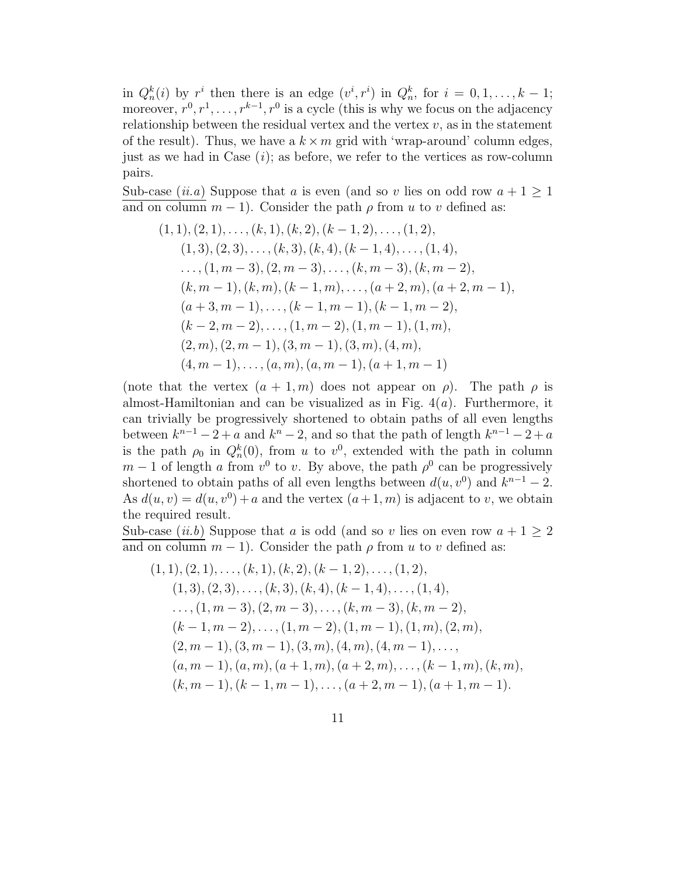in  $Q_n^k(i)$  by  $r^i$  then there is an edge  $(v^i, r^i)$  in  $Q_n^k$ , for  $i = 0, 1, \ldots, k - 1$ ; moreover,  $r^0, r^1, \ldots, r^{k-1}, r^0$  is a cycle (this is why we focus on the adjacency relationship between the residual vertex and the vertex  $v$ , as in the statement of the result). Thus, we have a  $k \times m$  grid with 'wrap-around' column edges, just as we had in Case  $(i)$ ; as before, we refer to the vertices as row-column pairs.

Sub-case (*ii.a*) Suppose that a is even (and so v lies on odd row  $a + 1 \ge 1$ and on column  $m-1$ ). Consider the path  $\rho$  from u to v defined as:

$$
(1, 1), (2, 1), \ldots, (k, 1), (k, 2), (k - 1, 2), \ldots, (1, 2),(1, 3), (2, 3), \ldots, (k, 3), (k, 4), (k - 1, 4), \ldots, (1, 4),\ldots, (1, m - 3), (2, m - 3), \ldots, (k, m - 3), (k, m - 2),(k, m - 1), (k, m), (k - 1, m), \ldots, (a + 2, m), (a + 2, m - 1),(a + 3, m - 1), \ldots, (k - 1, m - 1), (k - 1, m - 2),(k - 2, m - 2), \ldots, (1, m - 2), (1, m - 1), (1, m),(2, m), (2, m - 1), (3, m - 1), (3, m), (4, m),(4, m - 1), \ldots, (a, m), (a, m - 1), (a + 1, m - 1)
$$

(note that the vertex  $(a + 1, m)$  does not appear on  $\rho$ ). The path  $\rho$  is almost-Hamiltonian and can be visualized as in Fig.  $4(a)$ . Furthermore, it can trivially be progressively shortened to obtain paths of all even lengths between  $k^{n-1} - 2 + a$  and  $k^{n} - 2$ , and so that the path of length  $k^{n-1} - 2 + a$ is the path  $\rho_0$  in  $Q_n^k(0)$ , from u to  $v^0$ , extended with the path in column  $m-1$  of length a from  $v^0$  to v. By above, the path  $\rho^0$  can be progressively shortened to obtain paths of all even lengths between  $d(u, v^0)$  and  $k^{n-1} - 2$ . As  $d(u, v) = d(u, v^0) + a$  and the vertex  $(a + 1, m)$  is adjacent to v, we obtain the required result.

Sub-case (*ii.b*) Suppose that a is odd (and so v lies on even row  $a + 1 \geq 2$ and on column  $m-1$ ). Consider the path  $\rho$  from u to v defined as:

$$
(1, 1), (2, 1), \ldots, (k, 1), (k, 2), (k - 1, 2), \ldots, (1, 2),
$$
  
\n
$$
(1, 3), (2, 3), \ldots, (k, 3), (k, 4), (k - 1, 4), \ldots, (1, 4),
$$
  
\n
$$
\ldots, (1, m - 3), (2, m - 3), \ldots, (k, m - 3), (k, m - 2),
$$
  
\n
$$
(k - 1, m - 2), \ldots, (1, m - 2), (1, m - 1), (1, m), (2, m),
$$
  
\n
$$
(2, m - 1), (3, m - 1), (3, m), (4, m), (4, m - 1), \ldots,
$$
  
\n
$$
(a, m - 1), (a, m), (a + 1, m), (a + 2, m), \ldots, (k - 1, m), (k, m),
$$
  
\n
$$
(k, m - 1), (k - 1, m - 1), \ldots, (a + 2, m - 1), (a + 1, m - 1).
$$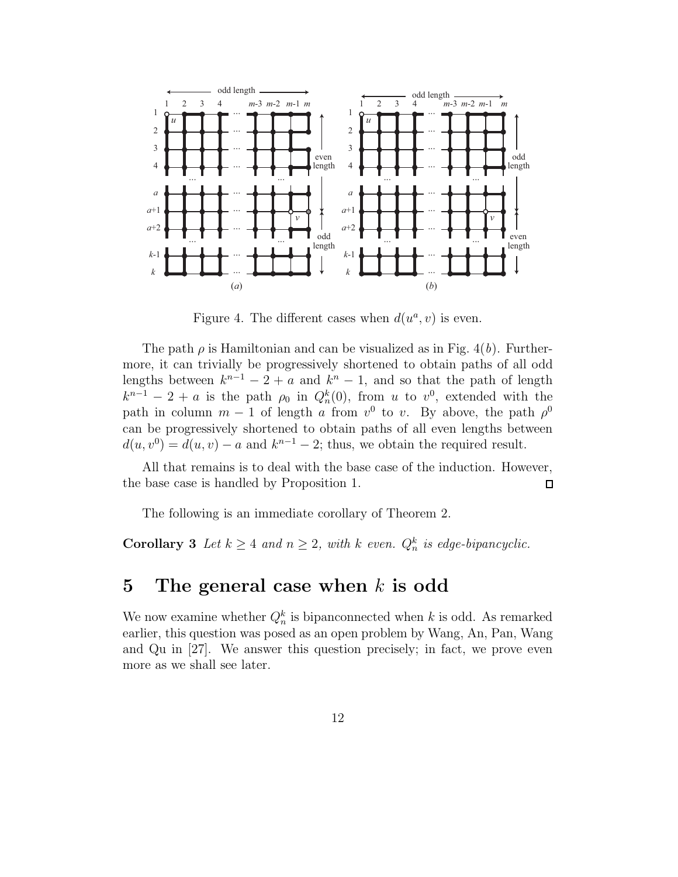

Figure 4. The different cases when  $d(u^a, v)$  is even.

The path  $\rho$  is Hamiltonian and can be visualized as in Fig. 4(b). Furthermore, it can trivially be progressively shortened to obtain paths of all odd lengths between  $k^{n-1} - 2 + a$  and  $k^n - 1$ , and so that the path of length  $k^{n-1} - 2 + a$  is the path  $\rho_0$  in  $Q_n^k(0)$ , from u to  $v^0$ , extended with the path in column  $m-1$  of length a from  $v^0$  to v. By above, the path  $\rho^0$ can be progressively shortened to obtain paths of all even lengths between  $d(u, v^0) = d(u, v) - a$  and  $k^{n-1} - 2$ ; thus, we obtain the required result.

All that remains is to deal with the base case of the induction. However, the base case is handled by Proposition 1.  $\Box$ 

The following is an immediate corollary of Theorem 2.

**Corollary 3** Let  $k \geq 4$  and  $n \geq 2$ , with k even.  $Q_n^k$  is edge-bipancyclic.

### 5 The general case when  $k$  is odd

We now examine whether  $Q_n^k$  is bipanconnected when k is odd. As remarked earlier, this question was posed as an open problem by Wang, An, Pan, Wang and Qu in [27]. We answer this question precisely; in fact, we prove even more as we shall see later.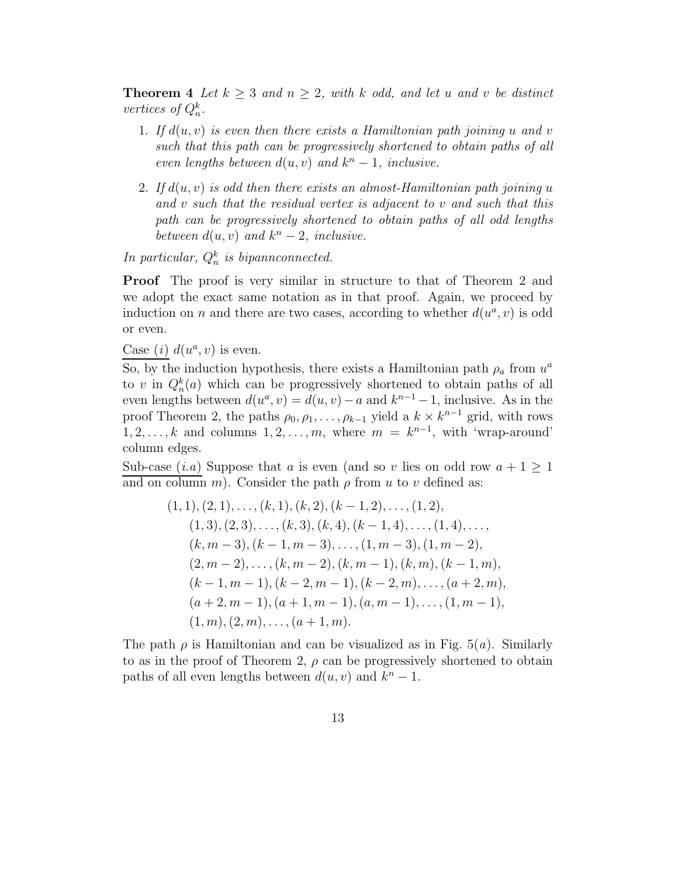**Theorem 4** Let  $k \geq 3$  and  $n \geq 2$ , with k odd, and let u and v be distinct vertices of  $Q_n^k$ .

- 1. If  $d(u, v)$  is even then there exists a Hamiltonian path joining u and v such that this path can be progressively shortened to obtain paths of all even lengths between  $d(u, v)$  and  $k<sup>n</sup> - 1$ , inclusive.
- 2. If  $d(u, v)$  is odd then there exists an almost-Hamiltonian path joining u and v such that the residual vertex is adjacent to v and such that this path can be progressively shortened to obtain paths of all odd lengths between  $d(u, v)$  and  $k^n - 2$ , inclusive.

In particular,  $Q_n^k$  is bipannconnected.

Proof The proof is very similar in structure to that of Theorem 2 and we adopt the exact same notation as in that proof. Again, we proceed by induction on n and there are two cases, according to whether  $d(u^a, v)$  is odd or even.

Case (*i*)  $d(u^a, v)$  is even.

So, by the induction hypothesis, there exists a Hamiltonian path  $\rho_a$  from  $u^a$ to v in  $Q_n^k(a)$  which can be progressively shortened to obtain paths of all even lengths between  $d(u^a, v) = d(u, v) - a$  and  $k^{n-1} - 1$ , inclusive. As in the proof Theorem 2, the paths  $\rho_0, \rho_1, \ldots, \rho_{k-1}$  yield a  $k \times k^{n-1}$  grid, with rows  $1, 2, \ldots, k$  and columns  $1, 2, \ldots, m$ , where  $m = k^{n-1}$ , with 'wrap-around' column edges.

Sub-case  $(i.a)$  Suppose that a is even (and so v lies on odd row  $a + 1 \ge 1$ ) and on column m). Consider the path  $\rho$  from u to v defined as:

$$
(1, 1), (2, 1), \ldots, (k, 1), (k, 2), (k - 1, 2), \ldots, (1, 2),
$$
  
\n
$$
(1, 3), (2, 3), \ldots, (k, 3), (k, 4), (k - 1, 4), \ldots, (1, 4), \ldots,
$$
  
\n
$$
(k, m - 3), (k - 1, m - 3), \ldots, (1, m - 3), (1, m - 2),
$$
  
\n
$$
(2, m - 2), \ldots, (k, m - 2), (k, m - 1), (k, m), (k - 1, m),
$$
  
\n
$$
(k - 1, m - 1), (k - 2, m - 1), (k - 2, m), \ldots, (a + 2, m),
$$
  
\n
$$
(a + 2, m - 1), (a + 1, m - 1), (a, m - 1), \ldots, (1, m - 1),
$$
  
\n
$$
(1, m), (2, m), \ldots, (a + 1, m).
$$

The path  $\rho$  is Hamiltonian and can be visualized as in Fig. 5(*a*). Similarly to as in the proof of Theorem 2,  $\rho$  can be progressively shortened to obtain paths of all even lengths between  $d(u, v)$  and  $k<sup>n</sup> - 1$ .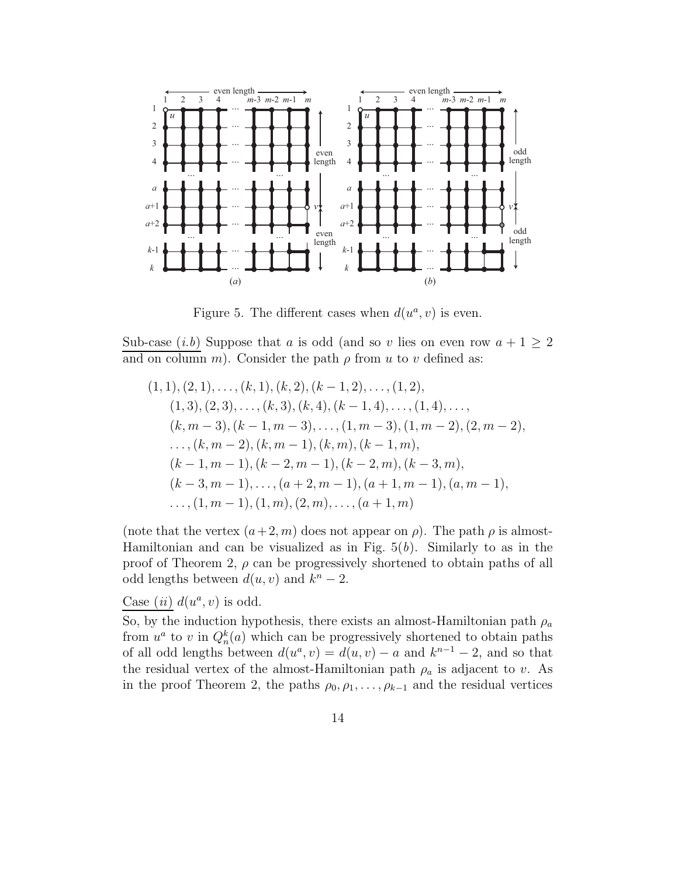

Figure 5. The different cases when  $d(u^a, v)$  is even.

Sub-case  $(i.b)$  Suppose that a is odd (and so v lies on even row  $a + 1 \geq 2$ ) and on column m). Consider the path  $\rho$  from u to v defined as:

$$
(1, 1), (2, 1), \ldots, (k, 1), (k, 2), (k - 1, 2), \ldots, (1, 2),(1, 3), (2, 3), \ldots, (k, 3), (k, 4), (k - 1, 4), \ldots, (1, 4), \ldots,(k, m - 3), (k - 1, m - 3), \ldots, (1, m - 3), (1, m - 2), (2, m - 2),\ldots, (k, m - 2), (k, m - 1), (k, m), (k - 1, m),(k - 1, m - 1), (k - 2, m - 1), (k - 2, m), (k - 3, m),(k - 3, m - 1), \ldots, (a + 2, m - 1), (a + 1, m - 1), (a, m - 1),\ldots, (1, m - 1), (1, m), (2, m), \ldots, (a + 1, m)
$$

(note that the vertex  $(a+2, m)$  does not appear on  $\rho$ ). The path  $\rho$  is almost-Hamiltonian and can be visualized as in Fig.  $5(b)$ . Similarly to as in the proof of Theorem 2,  $\rho$  can be progressively shortened to obtain paths of all odd lengths between  $d(u, v)$  and  $k^n - 2$ .

Case (ii)  $d(u^a, v)$  is odd.

So, by the induction hypothesis, there exists an almost-Hamiltonian path  $\rho_a$ from  $u^a$  to v in  $Q_n^k(a)$  which can be progressively shortened to obtain paths of all odd lengths between  $d(u^a, v) = d(u, v) - a$  and  $k^{n-1} - 2$ , and so that the residual vertex of the almost-Hamiltonian path  $\rho_a$  is adjacent to v. As in the proof Theorem 2, the paths  $\rho_0, \rho_1, \ldots, \rho_{k-1}$  and the residual vertices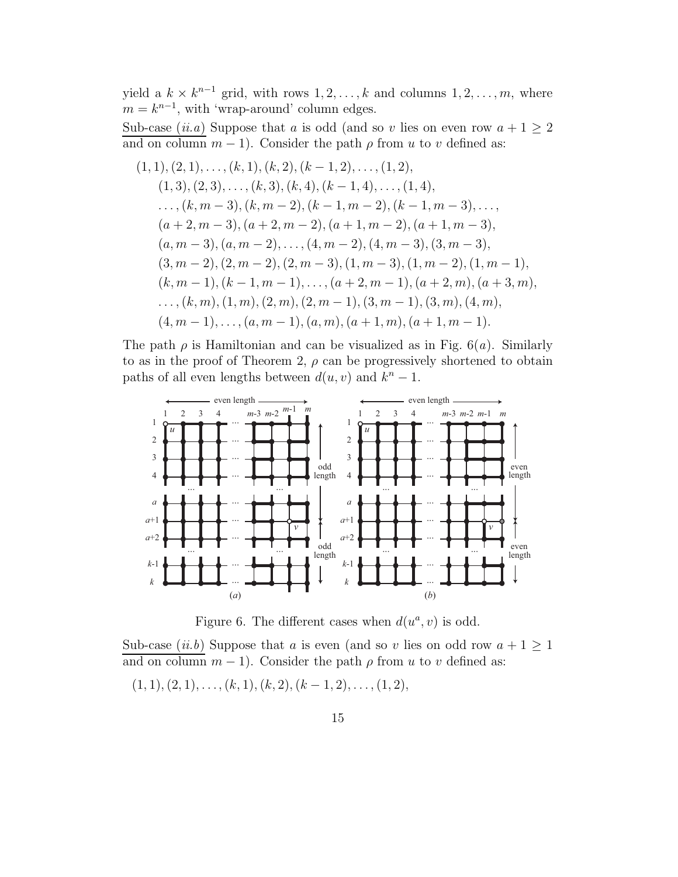yield a  $k \times k^{n-1}$  grid, with rows  $1, 2, ..., k$  and columns  $1, 2, ..., m$ , where  $m = k^{n-1}$ , with 'wrap-around' column edges.

Sub-case (*ii.a*) Suppose that a is odd (and so v lies on even row  $a + 1 \ge 2$ and on column  $m-1$ ). Consider the path  $\rho$  from u to v defined as:

$$
(1, 1), (2, 1), \ldots, (k, 1), (k, 2), (k - 1, 2), \ldots, (1, 2),(1, 3), (2, 3), \ldots, (k, 3), (k, 4), (k - 1, 4), \ldots, (1, 4),\ldots, (k, m - 3), (k, m - 2), (k - 1, m - 2), (k - 1, m - 3), \ldots,(a + 2, m - 3), (a + 2, m - 2), (a + 1, m - 2), (a + 1, m - 3),(a, m - 3), (a, m - 2), \ldots, (4, m - 2), (4, m - 3), (3, m - 3),(3, m - 2), (2, m - 2), (2, m - 3), (1, m - 3), (1, m - 2), (1, m - 1),(k, m - 1), (k - 1, m - 1), \ldots, (a + 2, m - 1), (a + 2, m), (a + 3, m),\ldots, (k, m), (1, m), (2, m), (2, m - 1), (3, m - 1), (3, m), (4, m),(4, m - 1), \ldots, (a, m - 1), (a, m), (a + 1, m), (a + 1, m - 1).
$$

The path  $\rho$  is Hamiltonian and can be visualized as in Fig. 6(*a*). Similarly to as in the proof of Theorem 2,  $\rho$  can be progressively shortened to obtain paths of all even lengths between  $d(u, v)$  and  $k<sup>n</sup> - 1$ .



Figure 6. The different cases when  $d(u^a, v)$  is odd.

Sub-case (*ii.b*) Suppose that a is even (and so v lies on odd row  $a + 1 \ge 1$ and on column  $m-1$ ). Consider the path  $\rho$  from u to v defined as:

 $(1, 1), (2, 1), \ldots, (k, 1), (k, 2), (k - 1, 2), \ldots, (1, 2),$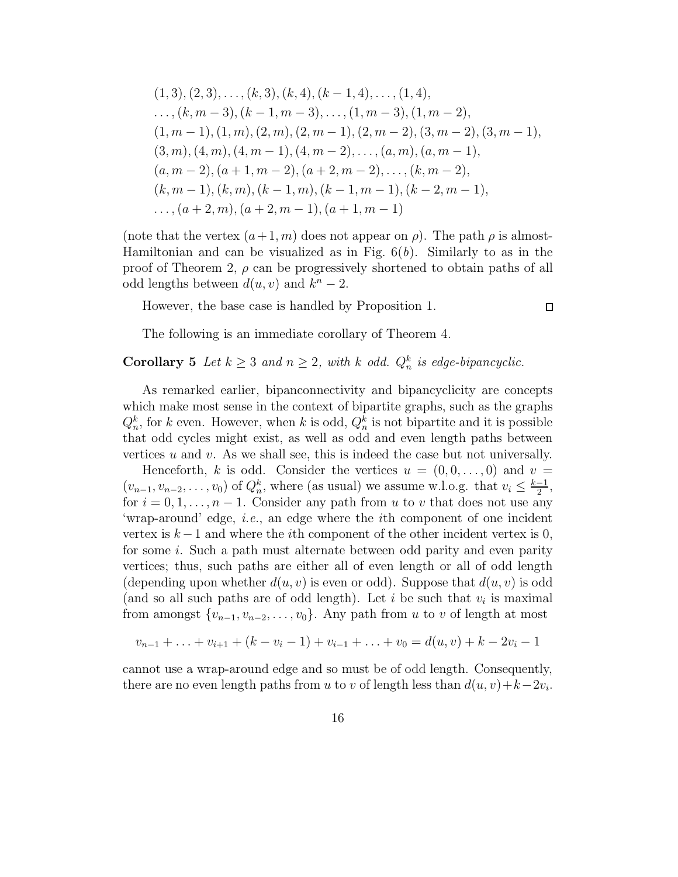$$
(1,3), (2,3), \ldots, (k,3), (k,4), (k-1,4), \ldots, (1,4),
$$
  
\ldots,  $(k, m-3), (k-1, m-3), \ldots, (1, m-3), (1, m-2),$   
\n $(1, m-1), (1, m), (2, m), (2, m-1), (2, m-2), (3, m-2), (3, m-1),$   
\n $(3, m), (4, m), (4, m-1), (4, m-2), \ldots, (a, m), (a, m-1),$   
\n $(a, m-2), (a+1, m-2), (a+2, m-2), \ldots, (k, m-2),$   
\n $(k, m-1), (k, m), (k-1, m), (k-1, m-1), (k-2, m-1),$   
\ldots,  $(a+2, m), (a+2, m-1), (a+1, m-1)$ 

(note that the vertex  $(a+1, m)$  does not appear on  $\rho$ ). The path  $\rho$  is almost-Hamiltonian and can be visualized as in Fig.  $6(b)$ . Similarly to as in the proof of Theorem 2,  $\rho$  can be progressively shortened to obtain paths of all odd lengths between  $d(u, v)$  and  $k^n - 2$ .

However, the base case is handled by Proposition 1.

$$
\Box
$$

The following is an immediate corollary of Theorem 4.

### **Corollary 5** Let  $k \geq 3$  and  $n \geq 2$ , with k odd.  $Q_n^k$  is edge-bipancyclic.

As remarked earlier, bipanconnectivity and bipancyclicity are concepts which make most sense in the context of bipartite graphs, such as the graphs  $Q_n^k$ , for k even. However, when k is odd,  $Q_n^k$  is not bipartite and it is possible that odd cycles might exist, as well as odd and even length paths between vertices  $u$  and  $v$ . As we shall see, this is indeed the case but not universally.

Henceforth, k is odd. Consider the vertices  $u = (0, 0, \ldots, 0)$  and  $v =$  $(v_{n-1}, v_{n-2}, \ldots, v_0)$  of  $Q_n^k$ , where (as usual) we assume w.l.o.g. that  $v_i \leq \frac{k-1}{2}$  $\frac{-1}{2}$ , for  $i = 0, 1, \ldots, n - 1$ . Consider any path from u to v that does not use any 'wrap-around' edge, i.e., an edge where the ith component of one incident vertex is  $k-1$  and where the *i*th component of the other incident vertex is 0, for some i. Such a path must alternate between odd parity and even parity vertices; thus, such paths are either all of even length or all of odd length (depending upon whether  $d(u, v)$  is even or odd). Suppose that  $d(u, v)$  is odd (and so all such paths are of odd length). Let  $i$  be such that  $v_i$  is maximal from amongst  $\{v_{n-1}, v_{n-2}, \ldots, v_0\}$ . Any path from u to v of length at most

$$
v_{n-1} + \ldots + v_{i+1} + (k - v_i - 1) + v_{i-1} + \ldots + v_0 = d(u, v) + k - 2v_i - 1
$$

cannot use a wrap-around edge and so must be of odd length. Consequently, there are no even length paths from u to v of length less than  $d(u, v) + k - 2v_i$ .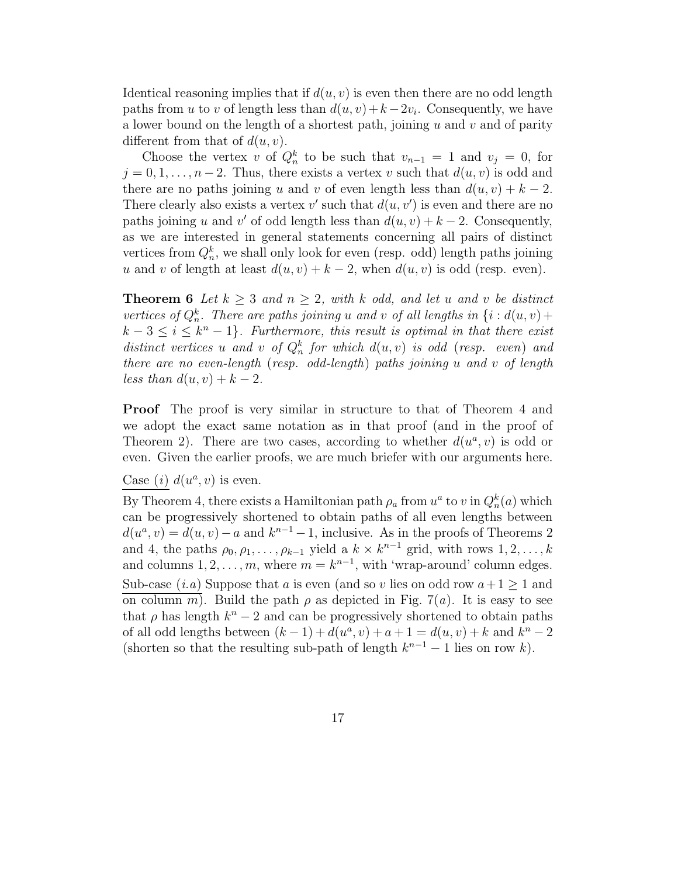Identical reasoning implies that if  $d(u, v)$  is even then there are no odd length paths from u to v of length less than  $d(u, v) + k - 2v_i$ . Consequently, we have a lower bound on the length of a shortest path, joining  $u$  and  $v$  and of parity different from that of  $d(u, v)$ .

Choose the vertex v of  $Q_n^k$  to be such that  $v_{n-1} = 1$  and  $v_j = 0$ , for  $j = 0, 1, \ldots, n-2$ . Thus, there exists a vertex v such that  $d(u, v)$  is odd and there are no paths joining u and v of even length less than  $d(u, v) + k - 2$ . There clearly also exists a vertex v' such that  $d(u, v')$  is even and there are no paths joining u and v' of odd length less than  $d(u, v) + k - 2$ . Consequently, as we are interested in general statements concerning all pairs of distinct vertices from  $Q_n^k$ , we shall only look for even (resp. odd) length paths joining u and v of length at least  $d(u, v) + k - 2$ , when  $d(u, v)$  is odd (resp. even).

**Theorem 6** Let  $k > 3$  and  $n > 2$ , with k odd, and let u and v be distinct vertices of  $Q_n^k$ . There are paths joining u and v of all lengths in  $\{i : d(u, v) +$  $k-3 \leq i \leq k^{n}-1$ . Furthermore, this result is optimal in that there exist distinct vertices u and v of  $Q_n^k$  for which  $d(u, v)$  is odd (resp. even) and there are no even-length (resp. odd-length) paths joining u and v of length less than  $d(u, v) + k - 2$ .

Proof The proof is very similar in structure to that of Theorem 4 and we adopt the exact same notation as in that proof (and in the proof of Theorem 2). There are two cases, according to whether  $d(u^a, v)$  is odd or even. Given the earlier proofs, we are much briefer with our arguments here.

Case (*i*)  $d(u^a, v)$  is even.

By Theorem 4, there exists a Hamiltonian path  $\rho_a$  from  $u^a$  to v in  $Q_n^k(a)$  which can be progressively shortened to obtain paths of all even lengths between  $d(u^a, v) = d(u, v) - a$  and  $k^{n-1} - 1$ , inclusive. As in the proofs of Theorems 2 and 4, the paths  $\rho_0, \rho_1, \ldots, \rho_{k-1}$  yield a  $k \times k^{n-1}$  grid, with rows  $1, 2, \ldots, k$ and columns  $1, 2, ..., m$ , where  $m = k^{n-1}$ , with 'wrap-around' column edges. Sub-case  $(i.a)$  Suppose that a is even (and so v lies on odd row  $a+1 \geq 1$  and on column m). Build the path  $\rho$  as depicted in Fig. 7(a). It is easy to see that  $\rho$  has length  $k^n - 2$  and can be progressively shortened to obtain paths of all odd lengths between  $(k - 1) + d(u^a, v) + a + 1 = d(u, v) + k$  and  $k^n - 2$ (shorten so that the resulting sub-path of length  $k^{n-1} - 1$  lies on row k).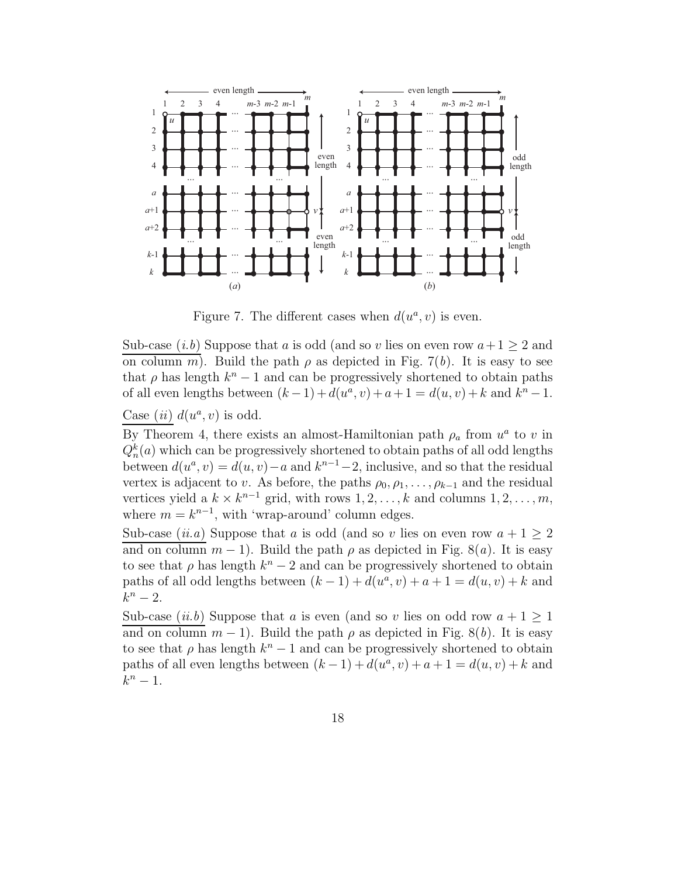

Figure 7. The different cases when  $d(u^a, v)$  is even.

Sub-case  $(i.b)$  Suppose that a is odd (and so v lies on even row  $a+1 \geq 2$  and on column m). Build the path  $\rho$  as depicted in Fig. 7(b). It is easy to see that  $\rho$  has length  $k^n - 1$  and can be progressively shortened to obtain paths of all even lengths between  $(k-1) + d(u^a, v) + a + 1 = d(u, v) + k$  and  $k^n - 1$ .

Case (ii)  $d(u^a, v)$  is odd.

By Theorem 4, there exists an almost-Hamiltonian path  $\rho_a$  from  $u^a$  to v in  $Q_n^k(a)$  which can be progressively shortened to obtain paths of all odd lengths between  $d(u^a, v) = d(u, v) - a$  and  $k^{n-1} - 2$ , inclusive, and so that the residual vertex is adjacent to v. As before, the paths  $\rho_0, \rho_1, \ldots, \rho_{k-1}$  and the residual vertices yield a  $k \times k^{n-1}$  grid, with rows  $1, 2, \ldots, k$  and columns  $1, 2, \ldots, m$ , where  $m = k^{n-1}$ , with 'wrap-around' column edges.

Sub-case (*ii.a*) Suppose that a is odd (and so v lies on even row  $a + 1 \geq 2$ and on column  $m-1$ ). Build the path  $\rho$  as depicted in Fig. 8(a). It is easy to see that  $\rho$  has length  $k^n - 2$  and can be progressively shortened to obtain paths of all odd lengths between  $(k-1) + d(u^a, v) + a + 1 = d(u, v) + k$  and  $k^n-2$ .

Sub-case (*ii.b*) Suppose that a is even (and so v lies on odd row  $a + 1 \geq 1$ and on column  $m-1$ ). Build the path  $\rho$  as depicted in Fig. 8(b). It is easy to see that  $\rho$  has length  $k^n - 1$  and can be progressively shortened to obtain paths of all even lengths between  $(k-1) + d(u^a, v) + a + 1 = d(u, v) + k$  and  $k^n-1$ .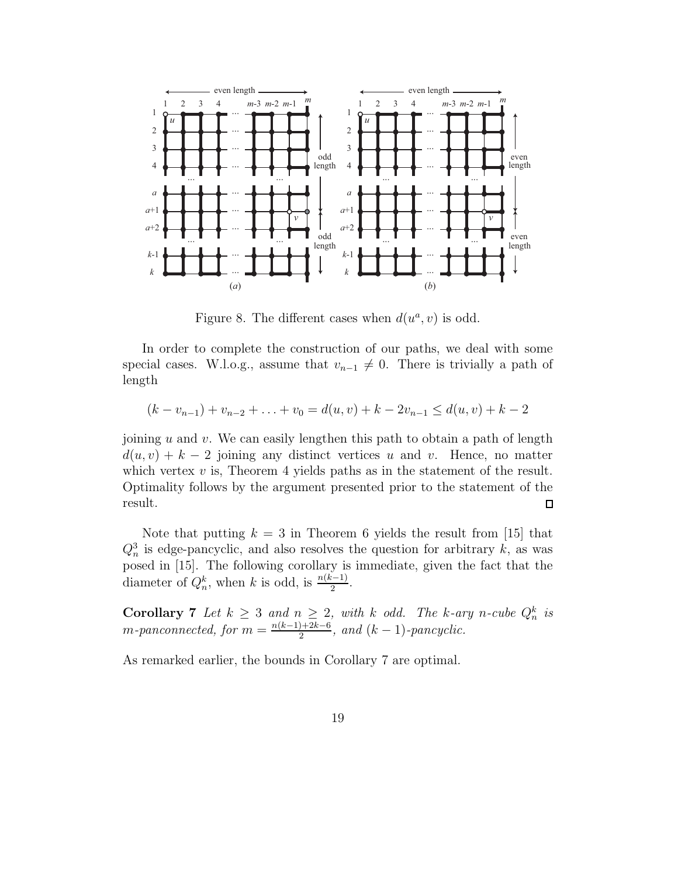

Figure 8. The different cases when  $d(u^a, v)$  is odd.

In order to complete the construction of our paths, we deal with some special cases. W.l.o.g., assume that  $v_{n-1} \neq 0$ . There is trivially a path of length

$$
(k - v_{n-1}) + v_{n-2} + \ldots + v_0 = d(u, v) + k - 2v_{n-1} \le d(u, v) + k - 2
$$

joining  $u$  and  $v$ . We can easily lengthen this path to obtain a path of length  $d(u, v) + k - 2$  joining any distinct vertices u and v. Hence, no matter which vertex  $v$  is, Theorem 4 yields paths as in the statement of the result. Optimality follows by the argument presented prior to the statement of the result.  $\Box$ 

Note that putting  $k = 3$  in Theorem 6 yields the result from [15] that  $Q_n^3$  is edge-pancyclic, and also resolves the question for arbitrary k, as was posed in [15]. The following corollary is immediate, given the fact that the diameter of  $Q_n^k$ , when k is odd, is  $\frac{n(k-1)}{2}$ .

**Corollary 7** Let  $k \geq 3$  and  $n \geq 2$ , with k odd. The k-ary n-cube  $Q_n^k$  is  $m$ -panconnected, for  $m = \frac{n(k-1)+2k-6}{2}$  $\frac{2^{(k-1)}}{2}$ , and  $(k-1)$ -pancyclic.

As remarked earlier, the bounds in Corollary 7 are optimal.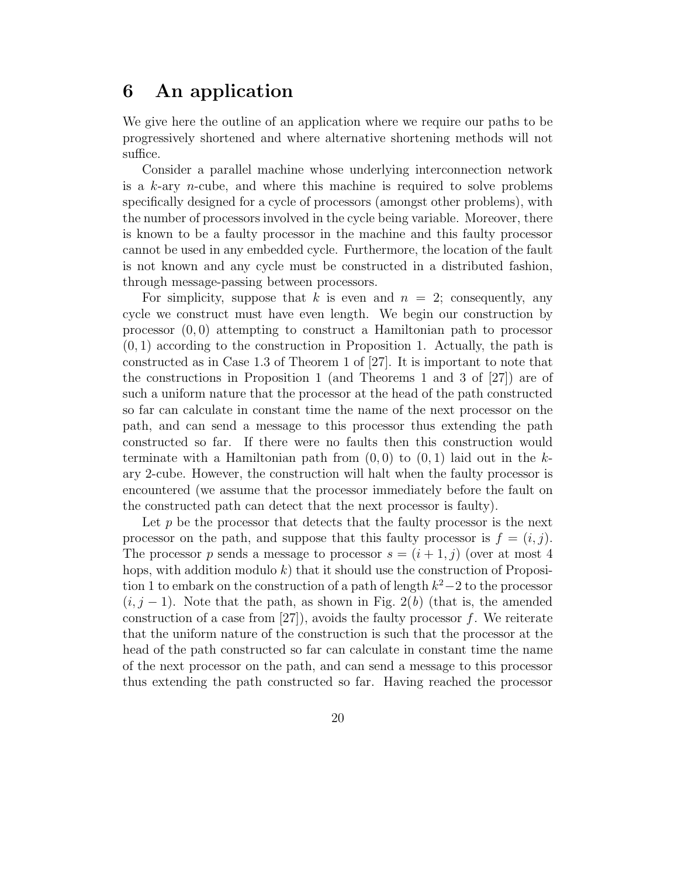### 6 An application

We give here the outline of an application where we require our paths to be progressively shortened and where alternative shortening methods will not suffice.

Consider a parallel machine whose underlying interconnection network is a  $k$ -ary *n*-cube, and where this machine is required to solve problems specifically designed for a cycle of processors (amongst other problems), with the number of processors involved in the cycle being variable. Moreover, there is known to be a faulty processor in the machine and this faulty processor cannot be used in any embedded cycle. Furthermore, the location of the fault is not known and any cycle must be constructed in a distributed fashion, through message-passing between processors.

For simplicity, suppose that k is even and  $n = 2$ ; consequently, any cycle we construct must have even length. We begin our construction by processor  $(0, 0)$  attempting to construct a Hamiltonian path to processor  $(0, 1)$  according to the construction in Proposition 1. Actually, the path is constructed as in Case 1.3 of Theorem 1 of [27]. It is important to note that the constructions in Proposition 1 (and Theorems 1 and 3 of [27]) are of such a uniform nature that the processor at the head of the path constructed so far can calculate in constant time the name of the next processor on the path, and can send a message to this processor thus extending the path constructed so far. If there were no faults then this construction would terminate with a Hamiltonian path from  $(0, 0)$  to  $(0, 1)$  laid out in the kary 2-cube. However, the construction will halt when the faulty processor is encountered (we assume that the processor immediately before the fault on the constructed path can detect that the next processor is faulty).

Let  $p$  be the processor that detects that the faulty processor is the next processor on the path, and suppose that this faulty processor is  $f = (i, j)$ . The processor p sends a message to processor  $s = (i + 1, j)$  (over at most 4 hops, with addition modulo k) that it should use the construction of Proposition 1 to embark on the construction of a path of length  $k^2-2$  to the processor  $(i, j - 1)$ . Note that the path, as shown in Fig. 2(b) (that is, the amended construction of a case from  $[27]$ , avoids the faulty processor f. We reiterate that the uniform nature of the construction is such that the processor at the head of the path constructed so far can calculate in constant time the name of the next processor on the path, and can send a message to this processor thus extending the path constructed so far. Having reached the processor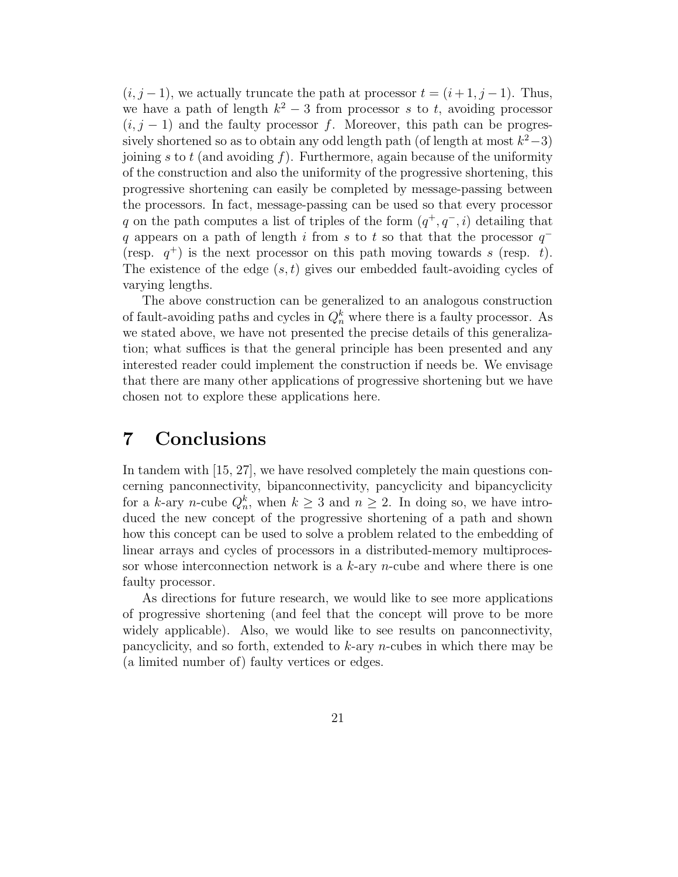$(i, j - 1)$ , we actually truncate the path at processor  $t = (i + 1, j - 1)$ . Thus, we have a path of length  $k^2 - 3$  from processor s to t, avoiding processor  $(i, j - 1)$  and the faulty processor f. Moreover, this path can be progressively shortened so as to obtain any odd length path (of length at most  $k^2-3$ ) joining s to t (and avoiding f). Furthermore, again because of the uniformity of the construction and also the uniformity of the progressive shortening, this progressive shortening can easily be completed by message-passing between the processors. In fact, message-passing can be used so that every processor q on the path computes a list of triples of the form  $(q^+, q^-, i)$  detailing that q appears on a path of length i from s to t so that that the processor  $q^-$ (resp.  $q^+$ ) is the next processor on this path moving towards s (resp. t). The existence of the edge  $(s, t)$  gives our embedded fault-avoiding cycles of varying lengths.

The above construction can be generalized to an analogous construction of fault-avoiding paths and cycles in  $Q_n^k$  where there is a faulty processor. As we stated above, we have not presented the precise details of this generalization; what suffices is that the general principle has been presented and any interested reader could implement the construction if needs be. We envisage that there are many other applications of progressive shortening but we have chosen not to explore these applications here.

### 7 Conclusions

In tandem with [15, 27], we have resolved completely the main questions concerning panconnectivity, bipanconnectivity, pancyclicity and bipancyclicity for a k-ary n-cube  $Q_n^k$ , when  $k \geq 3$  and  $n \geq 2$ . In doing so, we have introduced the new concept of the progressive shortening of a path and shown how this concept can be used to solve a problem related to the embedding of linear arrays and cycles of processors in a distributed-memory multiprocessor whose interconnection network is a  $k$ -ary *n*-cube and where there is one faulty processor.

As directions for future research, we would like to see more applications of progressive shortening (and feel that the concept will prove to be more widely applicable). Also, we would like to see results on panconnectivity, pancyclicity, and so forth, extended to k-ary n-cubes in which there may be (a limited number of) faulty vertices or edges.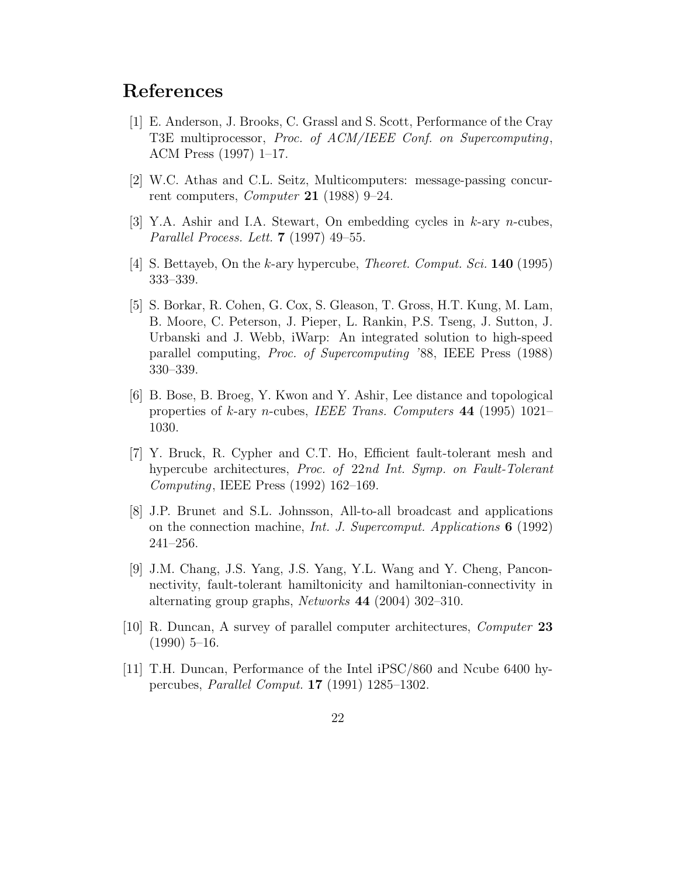### References

- [1] E. Anderson, J. Brooks, C. Grassl and S. Scott, Performance of the Cray T3E multiprocessor, Proc. of ACM/IEEE Conf. on Supercomputing, ACM Press (1997) 1–17.
- [2] W.C. Athas and C.L. Seitz, Multicomputers: message-passing concurrent computers, *Computer* 21 (1988) 9–24.
- $|3|$  Y.A. Ashir and I.A. Stewart, On embedding cycles in k-ary n-cubes, Parallel Process. Lett. 7 (1997) 49–55.
- [4] S. Bettayeb, On the k-ary hypercube, Theoret. Comput. Sci. 140 (1995) 333–339.
- [5] S. Borkar, R. Cohen, G. Cox, S. Gleason, T. Gross, H.T. Kung, M. Lam, B. Moore, C. Peterson, J. Pieper, L. Rankin, P.S. Tseng, J. Sutton, J. Urbanski and J. Webb, iWarp: An integrated solution to high-speed parallel computing, Proc. of Supercomputing '88, IEEE Press (1988) 330–339.
- [6] B. Bose, B. Broeg, Y. Kwon and Y. Ashir, Lee distance and topological properties of k-ary n-cubes, IEEE Trans. Computers 44 (1995) 1021– 1030.
- [7] Y. Bruck, R. Cypher and C.T. Ho, Efficient fault-tolerant mesh and hypercube architectures, *Proc.* of 22nd Int. Symp. on Fault-Tolerant Computing, IEEE Press (1992) 162–169.
- [8] J.P. Brunet and S.L. Johnsson, All-to-all broadcast and applications on the connection machine, *Int. J. Supercomput. Applications*  $6(1992)$ 241–256.
- [9] J.M. Chang, J.S. Yang, J.S. Yang, Y.L. Wang and Y. Cheng, Panconnectivity, fault-tolerant hamiltonicity and hamiltonian-connectivity in alternating group graphs, Networks 44 (2004) 302–310.
- [10] R. Duncan, A survey of parallel computer architectures, Computer 23  $(1990)$  5-16.
- [11] T.H. Duncan, Performance of the Intel iPSC/860 and Ncube 6400 hypercubes, Parallel Comput. 17 (1991) 1285–1302.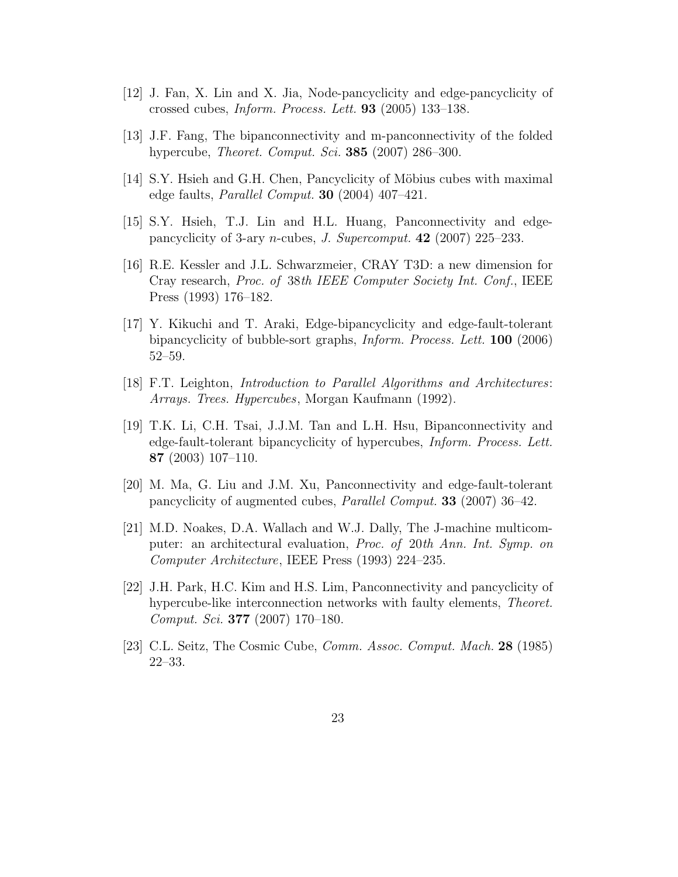- [12] J. Fan, X. Lin and X. Jia, Node-pancyclicity and edge-pancyclicity of crossed cubes, Inform. Process. Lett. 93 (2005) 133–138.
- [13] J.F. Fang, The bipanconnectivity and m-panconnectivity of the folded hypercube, *Theoret. Comput. Sci.* **385** (2007) 286–300.
- [14] S.Y. Hisieh and G.H. Chen, Pancyclicity of Möbius cubes with maximal edge faults, Parallel Comput. 30 (2004) 407–421.
- [15] S.Y. Hsieh, T.J. Lin and H.L. Huang, Panconnectivity and edgepancyclicity of 3-ary *n*-cubes, *J. Supercomput.* **42** (2007) 225–233.
- [16] R.E. Kessler and J.L. Schwarzmeier, CRAY T3D: a new dimension for Cray research, Proc. of 38th IEEE Computer Society Int. Conf., IEEE Press (1993) 176–182.
- [17] Y. Kikuchi and T. Araki, Edge-bipancyclicity and edge-fault-tolerant bipancyclicity of bubble-sort graphs, Inform. Process. Lett. 100 (2006) 52–59.
- [18] F.T. Leighton, Introduction to Parallel Algorithms and Architectures: Arrays. Trees. Hypercubes, Morgan Kaufmann (1992).
- [19] T.K. Li, C.H. Tsai, J.J.M. Tan and L.H. Hsu, Bipanconnectivity and edge-fault-tolerant bipancyclicity of hypercubes, Inform. Process. Lett. 87 (2003) 107–110.
- [20] M. Ma, G. Liu and J.M. Xu, Panconnectivity and edge-fault-tolerant pancyclicity of augmented cubes, Parallel Comput. 33 (2007) 36–42.
- [21] M.D. Noakes, D.A. Wallach and W.J. Dally, The J-machine multicomputer: an architectural evaluation, Proc. of 20th Ann. Int. Symp. on Computer Architecture, IEEE Press (1993) 224–235.
- [22] J.H. Park, H.C. Kim and H.S. Lim, Panconnectivity and pancyclicity of hypercube-like interconnection networks with faulty elements, *Theoret*. Comput. Sci. 377 (2007) 170–180.
- [23] C.L. Seitz, The Cosmic Cube, Comm. Assoc. Comput. Mach. 28 (1985) 22–33.